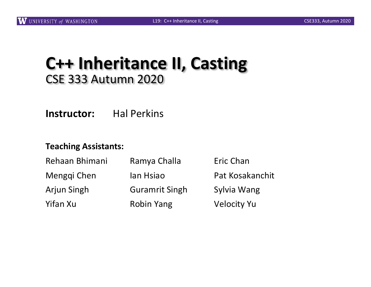## **C++ Inheritance II, Casting** CSE 333 Autumn 2020

**Instructor:** Hal Perkins

#### **Teaching Assistants:**

| Rehaan Bhimani | Ramya Challa          | Eric Chan          |
|----------------|-----------------------|--------------------|
| Menggi Chen    | lan Hsiao             | Pat Kosakanchit    |
| Arjun Singh    | <b>Guramrit Singh</b> | Sylvia Wang        |
| Yifan Xu       | <b>Robin Yang</b>     | <b>Velocity Yu</b> |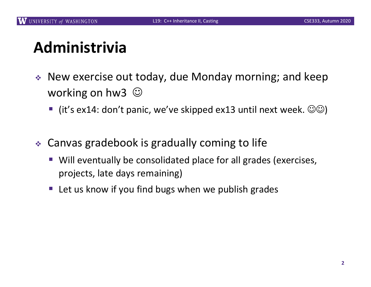# **Administrivia**

- $\cdot$  New exercise out today, due Monday morning; and keep working on hw3  $\odot$ 
	- **•** (it's ex14: don't panic, we've skipped ex13 until next week.  $\circledcirc\circ$ )
- $\div$  Canvas gradebook is gradually coming to life
	- Will eventually be consolidated place for all grades (exercises, projects, late days remaining)
	- Let us know if you find bugs when we publish grades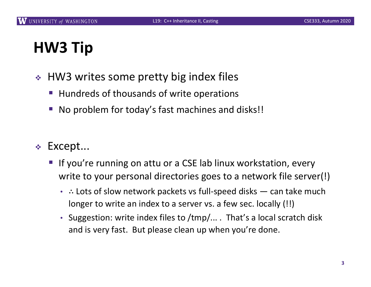# **HW3 Tip**

- $\div$  HW3 writes some pretty big index files
	- Hundreds of thousands of write operations
	- No problem for today's fast machines and disks!!
- <sup>v</sup> Except...
	- If you're running on attu or a CSE lab linux workstation, every write to your personal directories goes to a network file server(!)
		- ∴ Lots of slow network packets vs full-speed disks can take much longer to write an index to a server vs. a few sec. locally (!!)
		- Suggestion: write index files to /tmp/... . That's a local scratch disk and is very fast. But please clean up when you're done.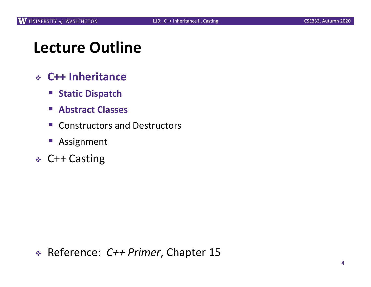## **Lecture Outline**

- <sup>v</sup> **C++ Inheritance**
	- § **Static Dispatch**
	- § **Abstract Classes**
	- Constructors and Destructors
	- Assignment
- <sup>v</sup> C++ Casting

<sup>v</sup> Reference: *C++ Primer*, Chapter 15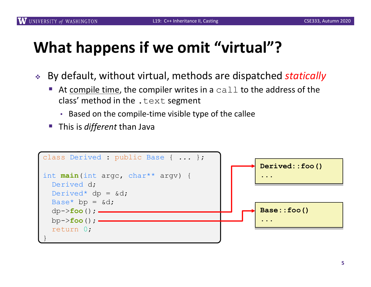## **What happens if we omit "virtual"?**

- <sup>v</sup> By default, without virtual, methods are dispatched *statically*
	- At compile time, the compiler writes in a  $\text{call}$  to the address of the class' method in the  $text$  text segment
		- Based on the compile-time visible type of the callee
	- This is *different* than Java

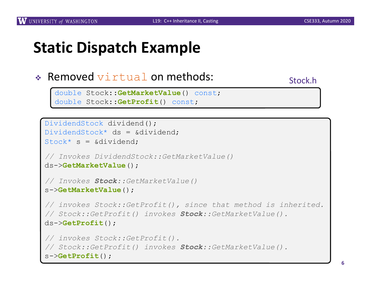## **Static Dispatch Example**

#### $\triangleleft$  Removed virtual on methods:

Stock.h

```
double Stock::GetMarketValue() const;
double Stock::GetProfit() const;
```

```
DividendStock dividend();
DividendStock* ds = &dividend;Stock* s = &dividend;
// Invokes DividendStock::GetMarketValue()
ds->GetMarketValue();
// Invokes Stock::GetMarketValue()
s->GetMarketValue();
// invokes Stock::GetProfit(), since that method is inherited. 
// Stock::GetProfit() invokes Stock::GetMarketValue().
ds->GetProfit();
// invokes Stock::GetProfit().
// Stock::GetProfit() invokes Stock::GetMarketValue(). 
s->GetProfit();
```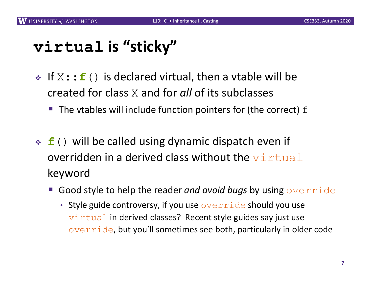## **virtual is "sticky"**

- ◆ If  $X$ : : **f** () is declared virtual, then a vtable will be created for class X and for *all* of its subclasses
	- $\blacksquare$  The vtables will include function pointers for (the correct)  $f$
- **f**() will be called using dynamic dispatch even if overridden in a derived class without the  $\texttt{virtual}$ keyword
	- § Good style to help the reader *and avoid bugs* by using override
		- Style guide controversy, if you use  $overrightarrow{overright}$  de should you use virtual in derived classes? Recent style guides say just use override, but you'll sometimes see both, particularly in older code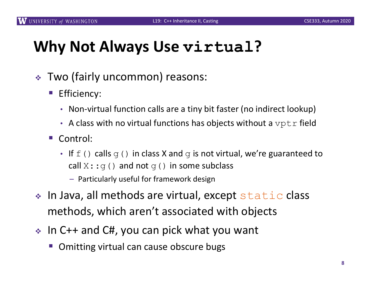## **Why Not Always Use virtual?**

- $\div$  Two (fairly uncommon) reasons:
	- Efficiency:
		- Non-virtual function calls are a tiny bit faster (no indirect lookup)
		- A class with no virtual functions has objects without a  $\text{vptr}$  field
	- Control:
		- If  $f(t)$  calls  $g(t)$  in class X and  $g$  is not virtual, we're guaranteed to call  $X: g()$  and not  $g()$  in some subclass
			- Particularly useful for framework design
- In Java, all methods are virtual, except static class methods, which aren't associated with objects
- $\cdot$  In C++ and C#, you can pick what you want
	- § Omitting virtual can cause obscure bugs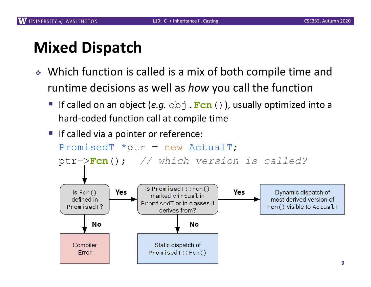## **Mixed Dispatch**

- ◆ Which function is called is a mix of both compile time and runtime decisions as well as *how* you call the function
	- If called on an object (*e.g.* obj.**Fcn**()), usually optimized into a hard-coded function call at compile time
	- If called via a pointer or reference: PromisedT  $*ptr = new Actual$ ;

ptr->**Fcn**(); *// which version is called?*

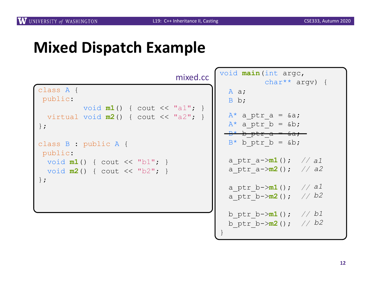# **Mixed Dispatch Example**

|                                                                                  | mixed.cc |
|----------------------------------------------------------------------------------|----------|
| class A {<br>public:                                                             |          |
| void $m1()$ { cout << "a1"; }<br>virtual void $m2()$ { cout << "a2"; }<br>$\}$ ; |          |
| class B : public A {<br>public:                                                  |          |
| void $m1()$ { cout << "b1"; }<br>void $m2()$ { cout << "b2"; }                   |          |
| $\}$ ;                                                                           |          |
|                                                                                  |          |

| void main (int arge, |                                                                                                    |  |                  |  |  |
|----------------------|----------------------------------------------------------------------------------------------------|--|------------------|--|--|
|                      | A a;<br>B b;                                                                                       |  | $char**$ argv) { |  |  |
|                      | $A^*$ a ptr a = &a<br>$A^*$ a ptr b = &b<br><del>- B* b ptr a = &amp;a</del><br>$B^*$ b ptr b = &b |  |                  |  |  |
|                      | a ptr a-> <b>m1</b> (); //a1<br>a ptr a->m2(); // a2                                               |  |                  |  |  |
|                      | a_ptr b->m1(); //al<br>a ptr b-> <b>m2</b> ();                                                     |  | // b2            |  |  |
| $\}$                 | b ptr b-> $m1()$ ; // b1<br>b_ptr b-> $m2()$ ; // b2                                               |  |                  |  |  |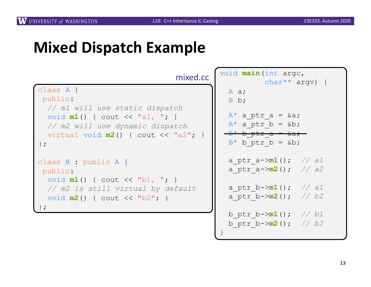## **Mixed Dispatch Example**

| mixed.cc                              | void main (int arge,               |  |
|---------------------------------------|------------------------------------|--|
|                                       | char** argy) {                     |  |
| class A {                             | A $a$ ;                            |  |
| public:                               | $B$ b;                             |  |
| // m1 will use static dispatch        |                                    |  |
| void $m1()$ { cout << "a1, "; }       | $A^*$ a ptr a = $\&a$ ;            |  |
| // m2 will use dynamic dispatch       | $A^*$ a ptr b = &b                 |  |
| virtual void $m2()$ { cout << "a2"; } | $-B* b$ ptr a = $6a$ ;             |  |
|                                       | $B^*$ b ptr b = &b                 |  |
| $\}$ ;                                |                                    |  |
| class B : public A {                  | a ptr a-> $m1()$ ; // al           |  |
| public:                               | a ptr $a \rightarrow m2$ (); // a2 |  |
| void $m1()$ { cout << "b1, "; }       |                                    |  |
| // m2 is still virtual by default     | a ptr b-> $m1()$ ; // al           |  |
|                                       | a ptr b-> $m2()$ ; // b2           |  |
| void $m2()$ { cout << "b2"; }         |                                    |  |
| $\}$ ;                                |                                    |  |
|                                       | b ptr b-> $m1()$ ; // b1           |  |

}

b\_ptr\_b->**m2**(); *// b2*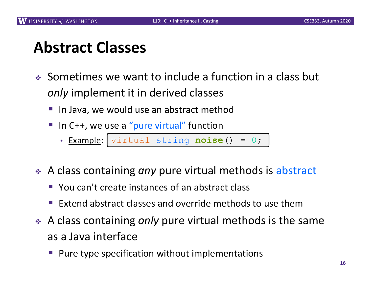## **Abstract Classes**

- $\bullet$  Sometimes we want to include a function in a class but *only* implement it in derived classes
	- In Java, we would use an abstract method
	- In C++, we use a "pure virtual" function
		- Example: virtual string **noise**() = 0; virtual string **noise**() = 0;
- \* A class containing *any* pure virtual methods is abstract
	- You can't create instances of an abstract class
	- Extend abstract classes and override methods to use them
- **↓** A class containing *only* pure virtual methods is the same as a Java interface
	- § Pure type specification without implementations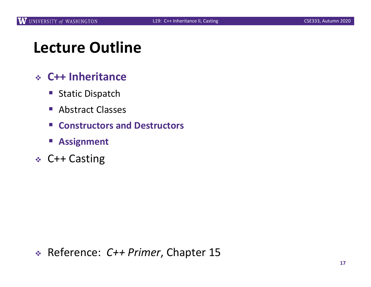## **Lecture Outline**

#### <sup>v</sup> **C++ Inheritance**

- Static Dispatch
- Abstract Classes
- **Constructors and Destructors**
- § **Assignment**
- <sup>v</sup> C++ Casting

<sup>v</sup> Reference: *C++ Primer*, Chapter 15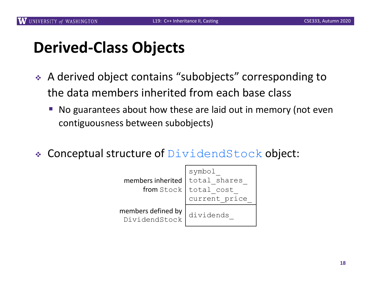# **Derived-Class Objects**

- ◆ A derived object contains "subobjects" corresponding to the data members inherited from each base class
	- No guarantees about how these are laid out in memory (not even contiguousness between subobjects)
- Conceptual structure of  $DividendStock$  object:

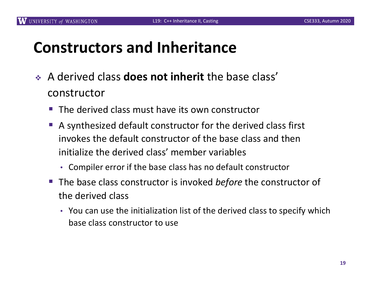### **Constructors and Inheritance**

- <sup>v</sup> A derived class **does not inherit** the base class' constructor
	- $\blacksquare$  The derived class must have its own constructor
	- A synthesized default constructor for the derived class first invokes the default constructor of the base class and then initialize the derived class' member variables
		- Compiler error if the base class has no default constructor
	- The base class constructor is invoked *before* the constructor of the derived class
		- You can use the initialization list of the derived class to specify which base class constructor to use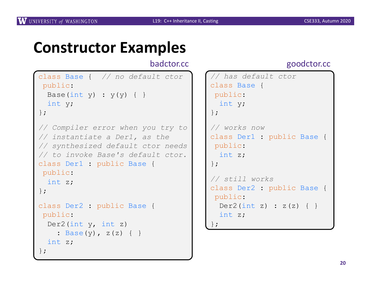### **Constructor Examples**

#### badctor.cc

```
class Base { // no default ctor
public:
 Base(int y) : y(y) { }
 int y;
};
// Compiler error when you try to 
// instantiate a Der1, as the
// synthesized default ctor needs 
// to invoke Base's default ctor.
class Der1 : public Base {
public:
 int z;
};
class Der2 : public Base {
public:
 Der2(int y, int z)
    : Base(y), z(z) { }
 int z;
};
```
#### goodctor.cc

```
// has default ctor
class Base {
public:
  int y;
};
// works now
class Der1 : public Base {
public:
  int z;
};
// still works
class Der2 : public Base {
public:
  Der2(int z) : z(z) { }int z;
};
```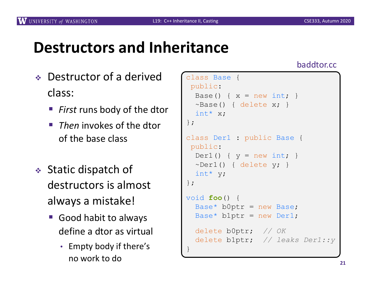### **Destructors and Inheritance**

- <sup>v</sup> Destructor of a derived class:
	- *First* runs body of the dtor
	- *Then* invokes of the dtor of the base class
- $\triangleleft$  Static dispatch of destructors is almost always a mistake!
	- Good habit to always define a dtor as virtual
		- Empty body if there's no work to do

#### class Base { public: Base() {  $x = new int;$  }  $\sim$ Base() { delete x; } int\* x; }; class Der1 : public Base { public:  $Der1()$  {  $y = new int;$  }  $\sim$ Der1() { delete y; } int\* y; }; void **foo**() {  $Base*$  b0ptr = new Base; Base\*  $blptr = new Der1;$ delete b0ptr; *// OK* delete b1ptr; *// leaks Der1::y* }

#### baddtor.cc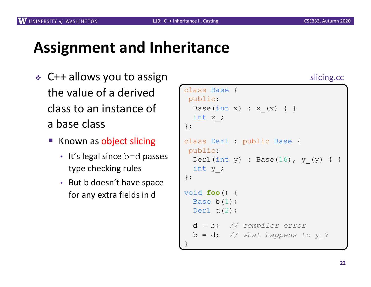};

};

}

Base b(1); Der1 d(2);

d = b; *// compiler error*

b = d; *// what happens to y\_?*

slicing.cc

### **Assignment and Inheritance**

- $\div$  C++ allows you to assign the value of a derived class to an instance of a base class
	- Known as object slicing
		- It's legal since  $b=0$  passes type checking rules
		- But b doesn't have space for any extra fields in d

```
class Base {
public:
  Base(int x) : x (x) { }
  int x_;
class Der1 : public Base {
public:
  Der1(int y) : Base(16), y(y) { }
  int y_;
void foo() {
```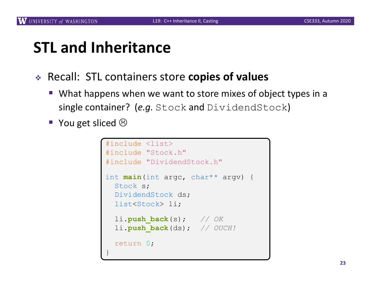#### **STL and Inheritance**

- <sup>v</sup> Recall: STL containers store **copies of values**
	- What happens when we want to store mixes of object types in a single container? (*e.g.* Stock and DividendStock)
	- You get sliced  $\odot$

```
#include <list>
#include "Stock.h"
#include "DividendStock.h"
int main(int argc, char** argv) {
 Stock s;
 DividendStock ds;
 list<Stock> li;
 li.push_back(s); // OK
 li.push_back(ds); // OUCH!
 return 0;
}
```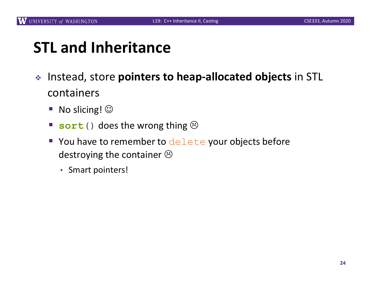## **STL and Inheritance**

- <sup>v</sup> Instead, store **pointers to heap-allocated objects** in STL containers
	- No slicing!  $\odot$
	- **sort**() does the wrong thing  $\odot$
	- You have to remember to delete your objects before destroying the container  $\odot$ 
		- Smart pointers!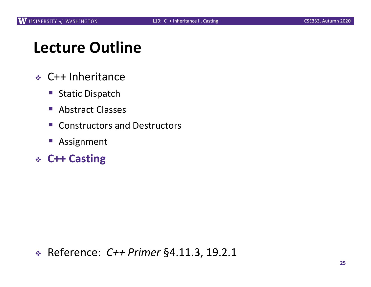## **Lecture Outline**

- <sup>v</sup> C++ Inheritance
	- Static Dispatch
	- Abstract Classes
	- Constructors and Destructors
	- Assignment
- <sup>v</sup> **C++ Casting**

<sup>v</sup> Reference: *C++ Primer* §4.11.3, 19.2.1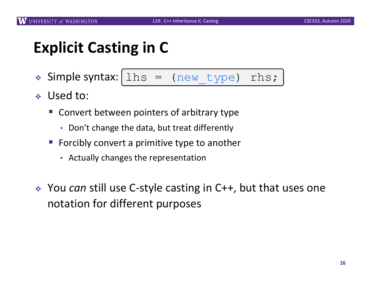## **Explicit Casting in C**

- $\triangleleft$  Simple syntax:  $\ln s = \ln w_t$  type) rhs;
- <sup>v</sup> Used to:
	- Convert between pointers of arbitrary type
		- Don't change the data, but treat differently
	- Forcibly convert a primitive type to another
		- Actually changes the representation
- **EXA** You *can* still use C-style casting in C++, but that uses one notation for different purposes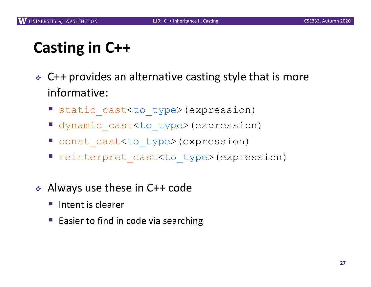# **Casting in C++**

- $\div$  C++ provides an alternative casting style that is more informative:
	- static cast<to type>(expression)
	- dynamic cast<to type>(expression)
	- const cast<to type>(expression)
	- § reinterpret\_cast<to\_type>(expression)
- $\triangleleft$  Always use these in C++ code
	- Intent is clearer
	- Easier to find in code via searching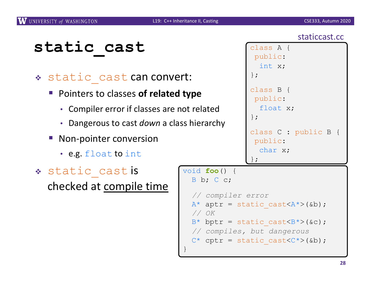}

staticcast.cc

## **static\_cast**

#### \* static cast can convert:

- Pointers to classes of related type
	- Compiler error if classes are not related
	- Dangerous to cast *down* a class hierarchy
- Non-pointer conversion
	- e.g. float to int
- \* static cast is checked at compile time

```
class A {
 public:
  int x;
};
class B {
public:
  float x;
};
class C : public B {
public:
  char x;
};
```

```
void foo() {
 B b; C c;
  // compiler error
```

```
A^* aptr = static cast <A^* > (&b);
// OK
```

```
B^* bptr = static cast<B^* (&c);
```

```
// compiles, but dangerous
```

```
C^* cptr = static cast\langle C^* \rangle(&b);
```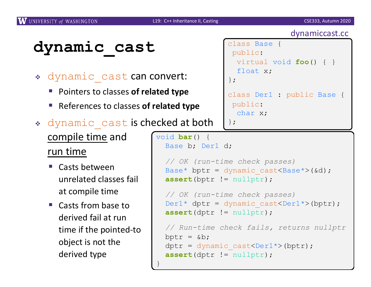## **dynamic\_cast**

- \* dynamic cast can convert:
	- Pointers to classes of **related type**
	- References to classes **of related type**
- \* dynamic cast is checked at both

}

compile time and run time

- Casts between unrelated classes fail at compile time
- Casts from base to derived fail at run time if the pointed-to object is not the derived type

```
dynamiccast.cc
class Base {
 public:
  virtual void foo() { }
  float x;
};
class Der1 : public Base {
 public:
  char x;
};
```

```
void bar() {
  Base b; Der1 d;
```

```
// OK (run-time check passes)
Base* bptr = dynamic cast<Base*>(&d);
assert(bptr != nullptr);
```

```
// OK (run-time check passes)
Der1* dptr = dynamic cast<Der1*>(bptr);
assert(dptr != nullptr);
```

```
// Run-time check fails, returns nullptr
bptr = &\text{b};
dptr = dynamic cast<Der1*>(bptr);
assert(dptr != nullptr);
```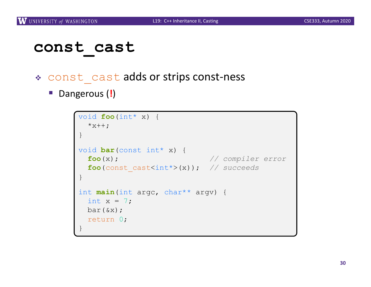#### **const\_cast**

- \* const cast adds or strips const-ness
	- Dangerous (!)

```
void foo(int* x) {
  *x++;}
void bar(const int* x) {
 foo(x); // compiler error
 foo(const_cast<int*>(x)); // succeeds
}
int main(int argc, char** argv) {
 int x = 7;
 bar(&x);
 return 0;
}
```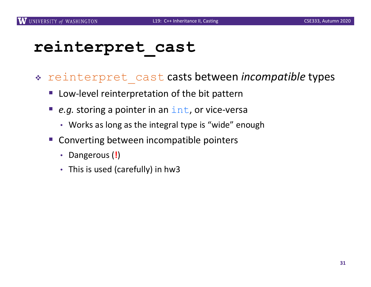### **reinterpret\_cast**

- <sup>v</sup> reinterpret\_cast casts between *incompatible* types
	- Low-level reinterpretation of the bit pattern
	- *e.g.* storing a pointer in an int, or vice-versa
		- Works as long as the integral type is "wide" enough
	- § Converting between incompatible pointers
		- Dangerous (**!**)
		- This is used (carefully) in hw3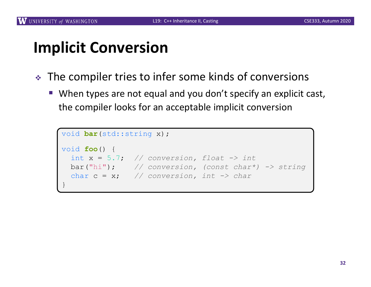# **Implicit Conversion**

- The compiler tries to infer some kinds of conversions
	- When types are not equal and you don't specify an explicit cast, the compiler looks for an acceptable implicit conversion

```
void bar(std::string x);
void foo() {
 int x = 5.7; // conversion, float -> int
  bar("hi"); // conversion, (const char*) -> string
  char c = x; // conversion, int -> char
}
```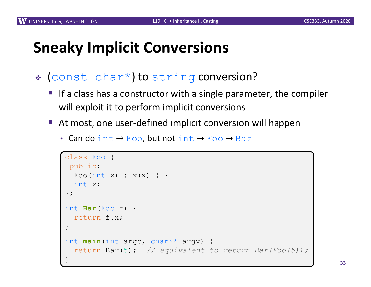### **Sneaky Implicit Conversions**

- \* (const char\*) to string conversion?
	- If a class has a constructor with a single parameter, the compiler will exploit it to perform implicit conversions
	- § At most, one user-defined implicit conversion will happen
		- Can do int  $\rightarrow$  Foo, but not int  $\rightarrow$  Foo  $\rightarrow$  Baz

```
class Foo {
 public:
  Foo(int x) : x(x) { }
  int x;
};
int Bar(Foo f) {
  return f.x;
}
int main(int argc, char** argv) {
  return Bar(5); // equivalent to return Bar(Foo(5));
}
```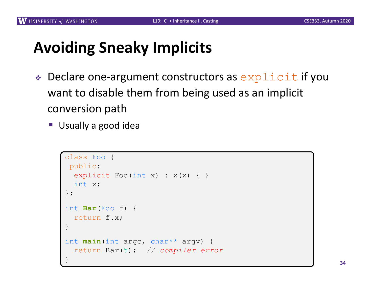## **Avoiding Sneaky Implicits**

- $\triangle$  Declare one-argument constructors as  $\exp$ licit if you want to disable them from being used as an implicit conversion path
	- Usually a good idea

```
class Foo {
 public:
  explicit Foo(int x) : x(x) { }
  int x;
};
int Bar(Foo f) {
  return f.x;
}
int main(int argc, char** argv) {
  return Bar(5); // compiler error
}
```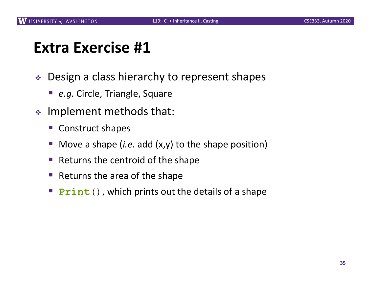#### **Extra Exercise #1**

- ◆ Design a class hierarchy to represent shapes
	- *e.g.* Circle, Triangle, Square
- $\cdot$  Implement methods that:
	- § Construct shapes
	- § Move a shape (*i.e.* add (x,y) to the shape position)
	- § Returns the centroid of the shape
	- § Returns the area of the shape
	- **Print**(), which prints out the details of a shape